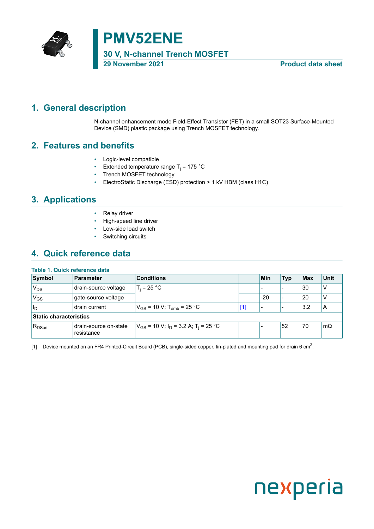

# **PMV52ENE**

**30 V, N-channel Trench MOSFET**

### <span id="page-0-1"></span>**1. General description**

<span id="page-0-0"></span>N-channel enhancement mode Field-Effect Transistor (FET) in a small SOT23 Surface-Mounted Device (SMD) plastic package using Trench MOSFET technology.

### <span id="page-0-2"></span>**2. Features and benefits**

- Logic-level compatible
- Extended temperature range T<sub>j</sub> = 175 °C
- Trench MOSFET technology
- ElectroStatic Discharge (ESD) protection > 1 kV HBM (class H1C)

#### <span id="page-0-3"></span>**3. Applications**

- Relay driver
- High-speed line driver
- Low-side load switch
- Switching circuits

### <span id="page-0-4"></span>**4. Quick reference data**

#### **Table 1. Quick reference data**

| Symbol                 | <b>Parameter</b>                    | <b>Conditions</b>                                               |     | Min                      | <b>Typ</b>               | <b>Max</b> | Unit      |
|------------------------|-------------------------------------|-----------------------------------------------------------------|-----|--------------------------|--------------------------|------------|-----------|
| 'V <sub>DS</sub>       | drain-source voltage                | $T_i = 25 °C$                                                   |     |                          |                          | 30         |           |
| 'V <sub>GS</sub>       | gate-source voltage                 |                                                                 |     | $-20$                    | $\overline{\phantom{0}}$ | 20         |           |
| ll <sub>D</sub>        | drain current                       | $V_{GS}$ = 10 V; T <sub>amb</sub> = 25 °C                       | [1] | $\overline{\phantom{0}}$ | $\overline{\phantom{0}}$ | 3.2        | A         |
| Static characteristics |                                     |                                                                 |     |                          |                          |            |           |
| $R_{DSon}$             | drain-source on-state<br>resistance | $V_{GS}$ = 10 V; I <sub>D</sub> = 3.2 A; T <sub>i</sub> = 25 °C |     |                          | 52                       | 70         | $m\Omega$ |

[1]  $\,$  Device mounted on an FR4 Printed-Circuit Board (PCB), single-sided copper, tin-plated and mounting pad for drain 6 cm $^2$ .

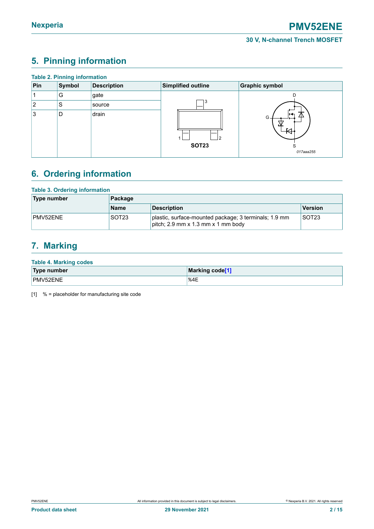### <span id="page-1-1"></span><span id="page-1-0"></span>**5. Pinning information**

| <b>Table 2. Pinning information</b> |        |                    |                    |                                |  |  |  |  |
|-------------------------------------|--------|--------------------|--------------------|--------------------------------|--|--|--|--|
| Pin                                 | Symbol | <b>Description</b> | Simplified outline | <b>Graphic symbol</b>          |  |  |  |  |
|                                     | G      | gate               |                    | D                              |  |  |  |  |
| 2                                   | .S     | source             | -5                 |                                |  |  |  |  |
| Ι3                                  | D      | drain              | າ<br><b>SOT23</b>  | ⊩⊷<br>△<br>G<br>s<br>017aaa255 |  |  |  |  |

### <span id="page-1-2"></span>**6. Ordering information**

| <b>Table 3. Ordering information</b> |             |                                                                                             |                   |  |  |  |  |
|--------------------------------------|-------------|---------------------------------------------------------------------------------------------|-------------------|--|--|--|--|
| Type number                          | Package     |                                                                                             |                   |  |  |  |  |
|                                      | <b>Name</b> | <b>Description</b>                                                                          | Version           |  |  |  |  |
| PMV52ENE                             | SOT23       | plastic, surface-mounted package; 3 terminals; 1.9 mm<br>pitch; 2.9 mm x 1.3 mm x 1 mm body | SOT <sub>23</sub> |  |  |  |  |

### <span id="page-1-3"></span>**7. Marking**

#### **Table 4. Marking codes**

| Type number     | Marking code <sup>[1]</sup> |
|-----------------|-----------------------------|
| <b>PMV52ENE</b> | 84E                         |

[1] % = placeholder for manufacturing site code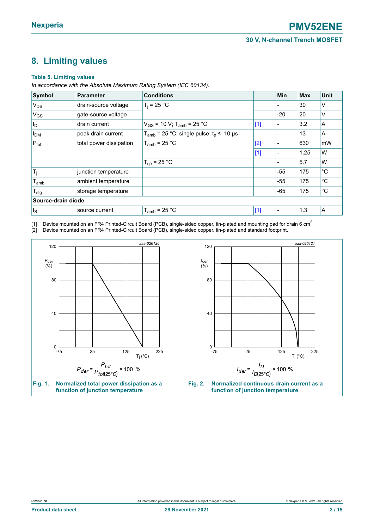### <span id="page-2-1"></span><span id="page-2-0"></span>**8. Limiting values**

#### **Table 5. Limiting values**

*In accordance with the Absolute Maximum Rating System (IEC 60134).*

| Symbol                | <b>Parameter</b>        | <b>Conditions</b>                                |       | <b>Min</b> | <b>Max</b> | <b>Unit</b> |
|-----------------------|-------------------------|--------------------------------------------------|-------|------------|------------|-------------|
| $V_{DS}$              | drain-source voltage    | $T_i = 25 °C$                                    |       |            | 30         | ٧           |
| <b>V<sub>GS</sub></b> | gate-source voltage     |                                                  |       | $-20$      | 20         | V           |
| $ I_{D} $             | drain current           | $V_{GS}$ = 10 V; T <sub>amb</sub> = 25 °C        | $[1]$ |            | 3.2        | A           |
| <b>I<sub>DM</sub></b> | peak drain current      | $T_{amb}$ = 25 °C; single pulse; $t_p \le 10$ µs |       |            | 13         | A           |
| $P_{\text{tot}}$      | total power dissipation | $T_{amb}$ = 25 °C                                | $[2]$ |            | 630        | mW          |
|                       |                         |                                                  | $[1]$ |            | 1.25       | W           |
|                       |                         | $T_{sp}$ = 25 °C                                 |       |            | 5.7        | W           |
| $T_i$                 | junction temperature    |                                                  |       | $-55$      | 175        | °C          |
| $T_{amb}$             | ambient temperature     |                                                  |       | $-55$      | 175        | $^{\circ}C$ |
| $T_{\text{stg}}$      | storage temperature     |                                                  |       | $-65$      | 175        | $^{\circ}C$ |
| Source-drain diode    |                         |                                                  |       |            |            |             |
| $\vert$ <sub>s</sub>  | source current          | $T_{amb}$ = 25 °C                                | $[1]$ |            | 1.3        | A           |

[1] Device mounted on an FR4 Printed-Circuit Board (PCB), single-sided copper, tin-plated and mounting pad for drain 6 cm $^2$ . [2] Device mounted on an FR4 Printed-Circuit Board (PCB), single-sided copper, tin-plated and standard footprint.

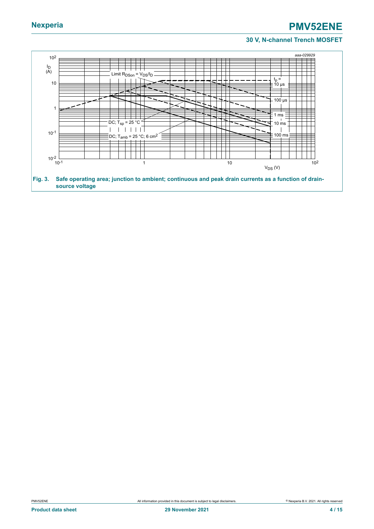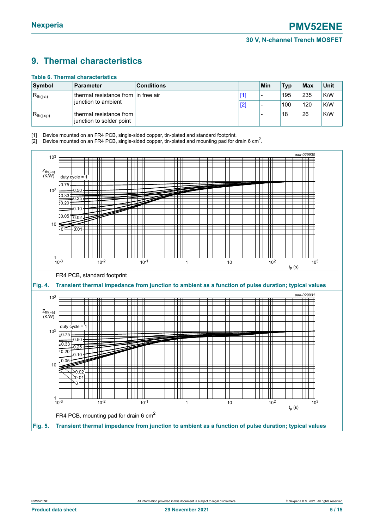### <span id="page-4-1"></span><span id="page-4-0"></span>**9. Thermal characteristics**

| <b>Table 6. Thermal characteristics</b> |                                                     |                   |     |     |     |         |      |
|-----------------------------------------|-----------------------------------------------------|-------------------|-----|-----|-----|---------|------|
| Symbol                                  | <b>Parameter</b>                                    | <b>Conditions</b> |     | Min | Typ | $ $ Max | Unit |
| $ R_{th(j-a)} $                         | thermal resistance from in free air                 |                   |     |     | 195 | 235     | K/W  |
|                                         | junction to ambient                                 |                   | [2] |     | 100 | 120     | K/W  |
| $R_{th(j-sp)}$                          | thermal resistance from<br>junction to solder point |                   |     |     | 18  | 26      | K/W  |

[1] Device mounted on an FR4 PCB, single-sided copper, tin-plated and standard footprint.

[2] Device mounted on an FR4 PCB, single-sided copper, tin-plated and mounting pad for drain 6 cm<sup>2</sup>.

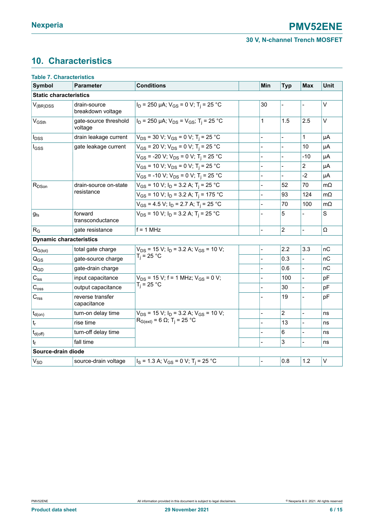## <span id="page-5-0"></span>**10. Characteristics**

| <b>Table 7. Characteristics</b> |                                   |                                                                  |                |                |                |           |
|---------------------------------|-----------------------------------|------------------------------------------------------------------|----------------|----------------|----------------|-----------|
| Symbol                          | <b>Parameter</b>                  | <b>Conditions</b>                                                | Min            | <b>Typ</b>     | Max            | Unit      |
| <b>Static characteristics</b>   |                                   |                                                                  |                |                |                |           |
| $V_{(BR)DSS}$                   | drain-source<br>breakdown voltage | $I_D$ = 250 µA; $V_{GS}$ = 0 V; T <sub>i</sub> = 25 °C           | 30             |                |                | V         |
| V <sub>GSth</sub>               | gate-source threshold<br>voltage  | $I_D$ = 250 µA; $V_{DS}$ = $V_{GS}$ ; T <sub>i</sub> = 25 °C     | 1              | 1.5            | 2.5            | $\vee$    |
| $I_{DSS}$                       | drain leakage current             | $V_{DS}$ = 30 V; V <sub>GS</sub> = 0 V; T <sub>i</sub> = 25 °C   |                |                | $\mathbf{1}$   | μA        |
| $I_{GSS}$                       | gate leakage current              | $V_{GS}$ = 20 V; $V_{DS}$ = 0 V; T <sub>i</sub> = 25 °C          |                |                | 10             | μA        |
|                                 |                                   | $V_{GS}$ = -20 V; $V_{DS}$ = 0 V; T <sub>i</sub> = 25 °C         |                |                | -10            | μA        |
|                                 |                                   | $V_{GS}$ = 10 V; V <sub>DS</sub> = 0 V; T <sub>j</sub> = 25 °C   |                |                | $\overline{c}$ | μA        |
|                                 |                                   | $V_{GS}$ = -10 V; $V_{DS}$ = 0 V; T <sub>i</sub> = 25 °C         |                |                | $-2$           | μA        |
| $R_{DSon}$                      | drain-source on-state             | $V_{GS}$ = 10 V; $I_D$ = 3.2 A; T <sub>i</sub> = 25 °C           |                | 52             | 70             | $m\Omega$ |
|                                 | resistance                        | $V_{GS}$ = 10 V; $I_D$ = 3.2 A; T <sub>i</sub> = 175 °C          |                | 93             | 124            | $m\Omega$ |
|                                 |                                   | $V_{GS}$ = 4.5 V; I <sub>D</sub> = 2.7 A; T <sub>i</sub> = 25 °C |                | 70             | 100            | $m\Omega$ |
| $g_{fs}$                        | forward<br>transconductance       | $V_{DS}$ = 10 V; $I_D$ = 3.2 A; T <sub>i</sub> = 25 °C           |                | 5              |                | S         |
| $R_G$                           | gate resistance                   | $f = 1$ MHz                                                      | $\overline{a}$ | $\overline{2}$ | $\overline{a}$ | Ω         |
|                                 | <b>Dynamic characteristics</b>    |                                                                  |                |                |                |           |
| $Q_{G(tot)}$                    | total gate charge                 | $V_{DS}$ = 15 V; I <sub>D</sub> = 3.2 A; V <sub>GS</sub> = 10 V; |                | 2.2            | 3.3            | nC        |
| $Q_{GS}$                        | gate-source charge                | $T_i = 25 °C$                                                    |                | 0.3            |                | nC        |
| $Q_{GD}$                        | gate-drain charge                 |                                                                  |                | 0.6            | $\overline{a}$ | nС        |
| C <sub>iss</sub>                | input capacitance                 | $V_{DS}$ = 15 V; f = 1 MHz; $V_{GS}$ = 0 V;                      |                | 100            |                | pF        |
| $\mathrm{C_{oss}}$              | output capacitance                | $T_i = 25 °C$                                                    |                | 30             |                | pF        |
| C <sub>rss</sub>                | reverse transfer<br>capacitance   |                                                                  |                | 19             |                | pF        |
| $t_{d(on)}$                     | turn-on delay time                | $V_{DS}$ = 15 V; I <sub>D</sub> = 3.2 A; V <sub>GS</sub> = 10 V; |                | $\overline{2}$ | $\overline{a}$ | ns        |
| $t_{\sf r}$                     | rise time                         | $R_{G(ext)} = 6 \Omega$ ; T <sub>i</sub> = 25 °C                 |                | 13             |                | ns        |
| $t_{d(\text{off})}$             | turn-off delay time               |                                                                  |                | 6              |                | ns        |
| $t_{\rm f}$                     | fall time                         |                                                                  | $\overline{a}$ | 3              | $\overline{a}$ | ns        |
| Source-drain diode              |                                   |                                                                  |                |                |                |           |
| V <sub>SD</sub>                 | source-drain voltage              | $I_S = 1.3$ A; $V_{GS} = 0$ V; T <sub>i</sub> = 25 °C            |                | 0.8            | 1.2            | V         |
|                                 |                                   |                                                                  |                |                |                |           |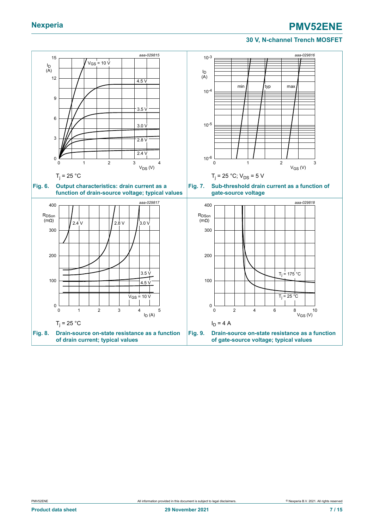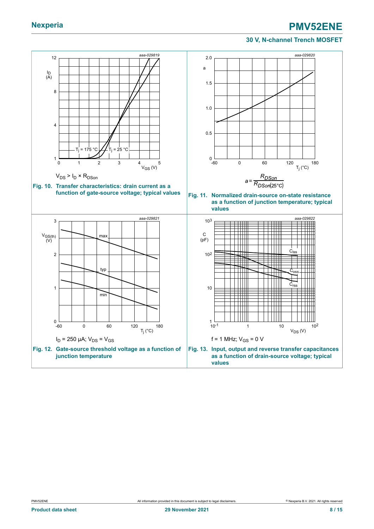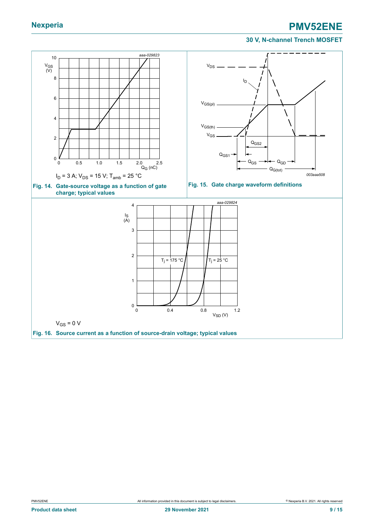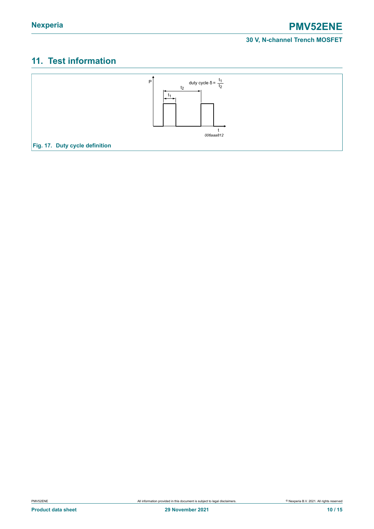## <span id="page-9-0"></span>**11. Test information**

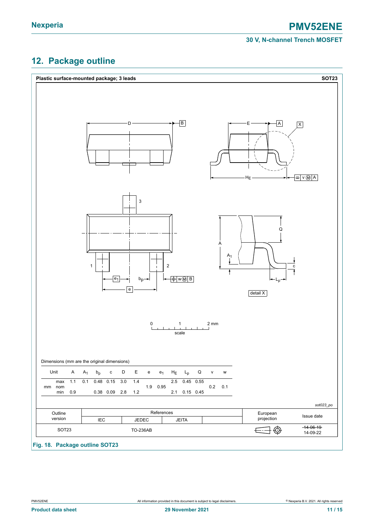### <span id="page-10-0"></span>**12. Package outline**

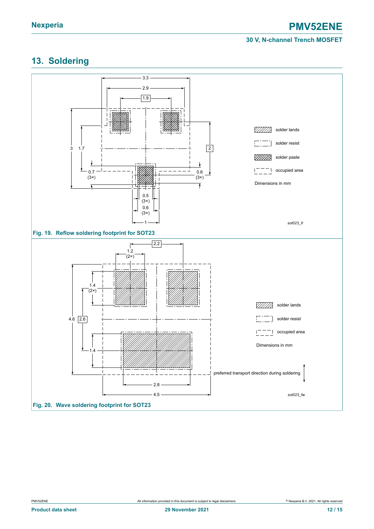## <span id="page-11-0"></span>**13. Soldering**

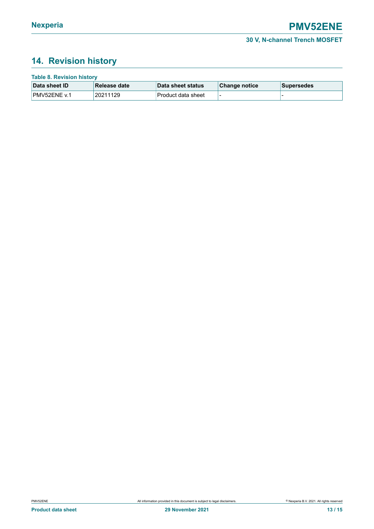## <span id="page-12-0"></span>**14. Revision history**

| <b>Table 8. Revision history</b> |               |                     |               |             |  |  |
|----------------------------------|---------------|---------------------|---------------|-------------|--|--|
| Data sheet ID                    | ∣Release date | ⊺Data sheet status  | Change notice | ∣Supersedes |  |  |
| <b>PMV52ENE v.1</b>              | 20211129      | ⊺Product data sheet |               |             |  |  |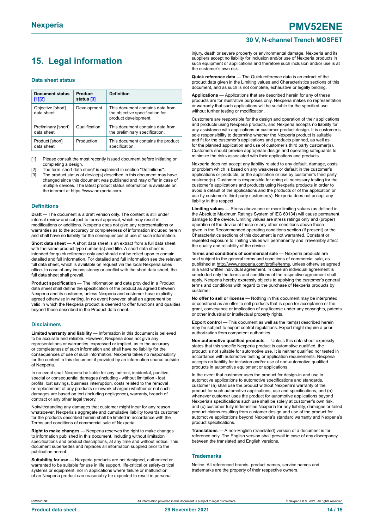## <span id="page-13-0"></span>**15. Legal information**

#### **Data sheet status**

| Document status<br>$[1]$ [2]      | Product<br>status [3] | <b>Definition</b>                                                                           |
|-----------------------------------|-----------------------|---------------------------------------------------------------------------------------------|
| Objective [short]<br>data sheet   | Development           | This document contains data from<br>the objective specification for<br>product development. |
| Preliminary [short]<br>data sheet | Qualification         | This document contains data from<br>the preliminary specification.                          |
| Product [short]<br>data sheet     | Production            | This document contains the product<br>specification.                                        |

[1] Please consult the most recently issued document before initiating or completing a design.

The term 'short data sheet' is explained in section "Definitions".

[3] The product status of device(s) described in this document may have changed since this document was published and may differ in case of multiple devices. The latest product status information is available on the internet at [https://www.nexperia.com.](https://www.nexperia.com)

#### **Definitions**

**Draft** — The document is a draft version only. The content is still under internal review and subject to formal approval, which may result in modifications or additions. Nexperia does not give any representations or warranties as to the accuracy or completeness of information included herein and shall have no liability for the consequences of use of such information.

**Short data sheet** — A short data sheet is an extract from a full data sheet with the same product type number(s) and title. A short data sheet is intended for quick reference only and should not be relied upon to contain detailed and full information. For detailed and full information see the relevant full data sheet, which is available on request via the local Nexperia sales office. In case of any inconsistency or conflict with the short data sheet, the full data sheet shall prevail.

**Product specification** — The information and data provided in a Product data sheet shall define the specification of the product as agreed between Nexperia and its customer, unless Nexperia and customer have explicitly agreed otherwise in writing. In no event however, shall an agreement be valid in which the Nexperia product is deemed to offer functions and qualities beyond those described in the Product data sheet.

#### **Disclaimers**

**Limited warranty and liability** — Information in this document is believed to be accurate and reliable. However, Nexperia does not give any representations or warranties, expressed or implied, as to the accuracy or completeness of such information and shall have no liability for the consequences of use of such information. Nexperia takes no responsibility for the content in this document if provided by an information source outside of Nexperia.

In no event shall Nexperia be liable for any indirect, incidental, punitive, special or consequential damages (including - without limitation - lost profits, lost savings, business interruption, costs related to the removal or replacement of any products or rework charges) whether or not such damages are based on tort (including negligence), warranty, breach of contract or any other legal theory.

Notwithstanding any damages that customer might incur for any reason whatsoever, Nexperia's aggregate and cumulative liability towards customer for the products described herein shall be limited in accordance with the Terms and conditions of commercial sale of Nexperia.

**Right to make changes** — Nexperia reserves the right to make changes to information published in this document, including without limitation specifications and product descriptions, at any time and without notice. This document supersedes and replaces all information supplied prior to the publication hereof.

**Suitability for use** — Nexperia products are not designed, authorized or warranted to be suitable for use in life support, life-critical or safety-critical systems or equipment, nor in applications where failure or malfunction of an Nexperia product can reasonably be expected to result in personal

injury, death or severe property or environmental damage. Nexperia and its suppliers accept no liability for inclusion and/or use of Nexperia products in such equipment or applications and therefore such inclusion and/or use is at the customer's own risk.

**Quick reference data** — The Quick reference data is an extract of the product data given in the Limiting values and Characteristics sections of this document, and as such is not complete, exhaustive or legally binding.

**Applications** — Applications that are described herein for any of these products are for illustrative purposes only. Nexperia makes no representation or warranty that such applications will be suitable for the specified use without further testing or modification.

Customers are responsible for the design and operation of their applications and products using Nexperia products, and Nexperia accepts no liability for any assistance with applications or customer product design. It is customer's sole responsibility to determine whether the Nexperia product is suitable and fit for the customer's applications and products planned, as well as for the planned application and use of customer's third party customer(s). Customers should provide appropriate design and operating safeguards to minimize the risks associated with their applications and products.

Nexperia does not accept any liability related to any default, damage, costs or problem which is based on any weakness or default in the customer's applications or products, or the application or use by customer's third party customer(s). Customer is responsible for doing all necessary testing for the customer's applications and products using Nexperia products in order to avoid a default of the applications and the products or of the application or use by customer's third party customer(s). Nexperia does not accept any liability in this respect.

**Limiting values** — Stress above one or more limiting values (as defined in the Absolute Maximum Ratings System of IEC 60134) will cause permanent damage to the device. Limiting values are stress ratings only and (proper) operation of the device at these or any other conditions above those given in the Recommended operating conditions section (if present) or the Characteristics sections of this document is not warranted. Constant or repeated exposure to limiting values will permanently and irreversibly affect the quality and reliability of the device.

**Terms and conditions of commercial sale** — Nexperia products are sold subject to the general terms and conditions of commercial sale, as published at [http://www.nexperia.com/profile/terms,](http://www.nexperia.com/profile/terms) unless otherwise agreed in a valid written individual agreement. In case an individual agreement is concluded only the terms and conditions of the respective agreement shall apply. Nexperia hereby expressly objects to applying the customer's general terms and conditions with regard to the purchase of Nexperia products by customer.

**No offer to sell or license** — Nothing in this document may be interpreted or construed as an offer to sell products that is open for acceptance or the grant, conveyance or implication of any license under any copyrights, patents or other industrial or intellectual property rights.

**Export control** — This document as well as the item(s) described herein may be subject to export control regulations. Export might require a prior authorization from competent authorities.

**Non-automotive qualified products** — Unless this data sheet expressly states that this specific Nexperia product is automotive qualified, the product is not suitable for automotive use. It is neither qualified nor tested in accordance with automotive testing or application requirements. Nexperia accepts no liability for inclusion and/or use of non-automotive qualified products in automotive equipment or applications.

In the event that customer uses the product for design-in and use in automotive applications to automotive specifications and standards, customer (a) shall use the product without Nexperia's warranty of the product for such automotive applications, use and specifications, and (b) whenever customer uses the product for automotive applications beyond Nexperia's specifications such use shall be solely at customer's own risk, and (c) customer fully indemnifies Nexperia for any liability, damages or failed product claims resulting from customer design and use of the product for automotive applications beyond Nexperia's standard warranty and Nexperia's product specifications.

**Translations** — A non-English (translated) version of a document is for reference only. The English version shall prevail in case of any discrepancy between the translated and English versions.

#### **Trademarks**

Notice: All referenced brands, product names, service names and trademarks are the property of their respective owners.